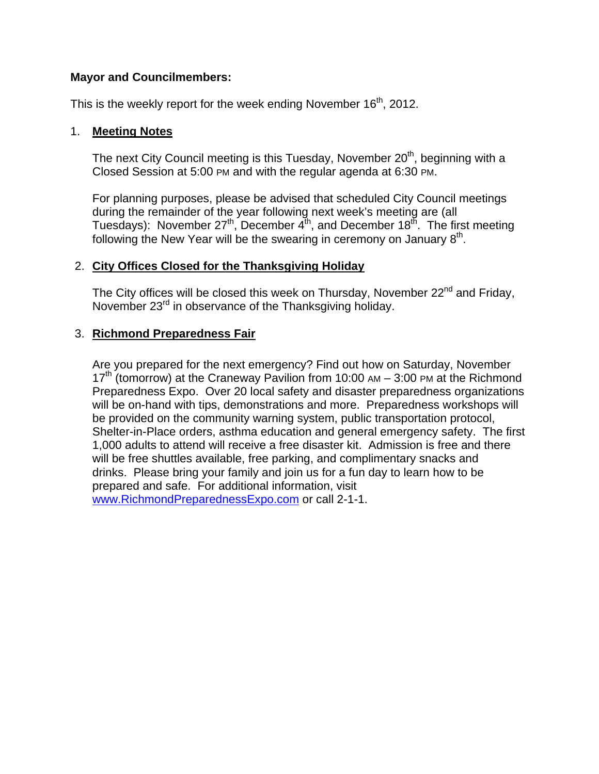### **Mayor and Councilmembers:**

This is the weekly report for the week ending November  $16<sup>th</sup>$ , 2012.

### 1. **Meeting Notes**

The next City Council meeting is this Tuesday, November  $20<sup>th</sup>$ , beginning with a Closed Session at 5:00 PM and with the regular agenda at 6:30 PM.

For planning purposes, please be advised that scheduled City Council meetings during the remainder of the year following next week's meeting are (all Tuesdays): November  $27<sup>th</sup>$ , December  $4<sup>th</sup>$ , and December  $18<sup>th</sup>$ . The first meeting following the New Year will be the swearing in ceremony on January  $8<sup>th</sup>$ .

## 2. **City Offices Closed for the Thanksgiving Holiday**

The City offices will be closed this week on Thursday, November  $22^{nd}$  and Friday, November 23<sup>rd</sup> in observance of the Thanksgiving holiday.

## 3. **Richmond Preparedness Fair**

Are you prepared for the next emergency? Find out how on Saturday, November  $17<sup>th</sup>$  (tomorrow) at the Craneway Pavilion from 10:00 AM – 3:00 PM at the Richmond Preparedness Expo. Over 20 local safety and disaster preparedness organizations will be on-hand with tips, demonstrations and more. Preparedness workshops will be provided on the community warning system, public transportation protocol, Shelter-in-Place orders, asthma education and general emergency safety. The first 1,000 adults to attend will receive a free disaster kit. Admission is free and there will be free shuttles available, free parking, and complimentary snacks and drinks. Please bring your family and join us for a fun day to learn how to be prepared and safe. For additional information, visit www.RichmondPreparednessExpo.com or call 2-1-1.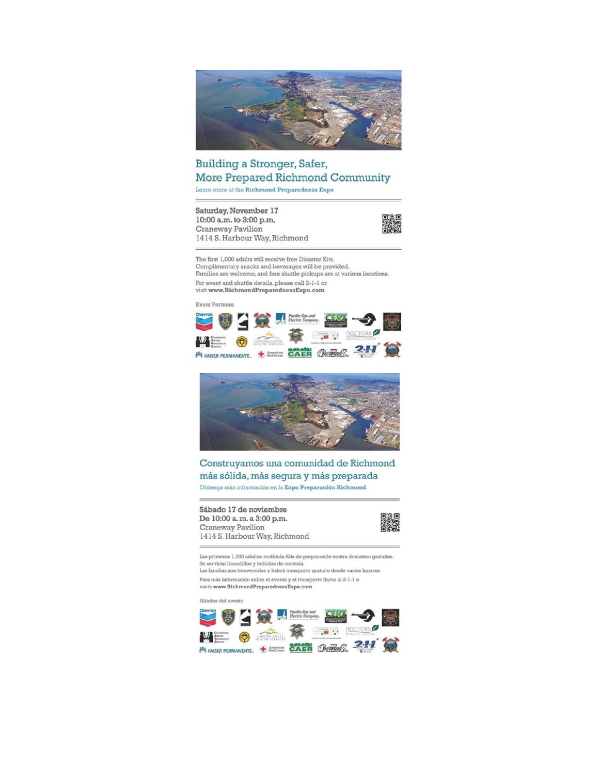

### Building a Stronger, Safer, More Prepared Richmond Community Learn more at the Richmond Preparedness Expo

Saturday, November 17 10:00 a.m. to 3:00 p.m. Craneway Pavilion 1414 S. Harbour Way, Richmond



The first 1,000 adults will receive free Disaster Kits. Complimentary snacks and beverages will be provided. Families are welcome, and free shuttle pickups are at various locations. For event and shuttle details, please call 2-1-1 or visit www.RichmondPreparednessExpo.com

Event Partners





Construyamos una comunidad de Richmond más sólida, más segura y más preparada Obtenga más información en la Expo Preparación Richmond

Sábado 17 de noviembre De 10:00 a.m. a 3:00 p.m. Craneway Pavilion 1414 S. Harbour Way, Richmond

Los primeros 1,000 adultos recibirán Kits de preparación contra desastres gratuitos. Se servirán bocadillos y bebidas de cortesía. Las familias son bienvenidas y habrá transporte gratuito desde varios lugares.

Para más información sobre el evento y el transporte llame al 2-1-1 o visite www.RichmondPreparednessExpo.com

Aliados del evento

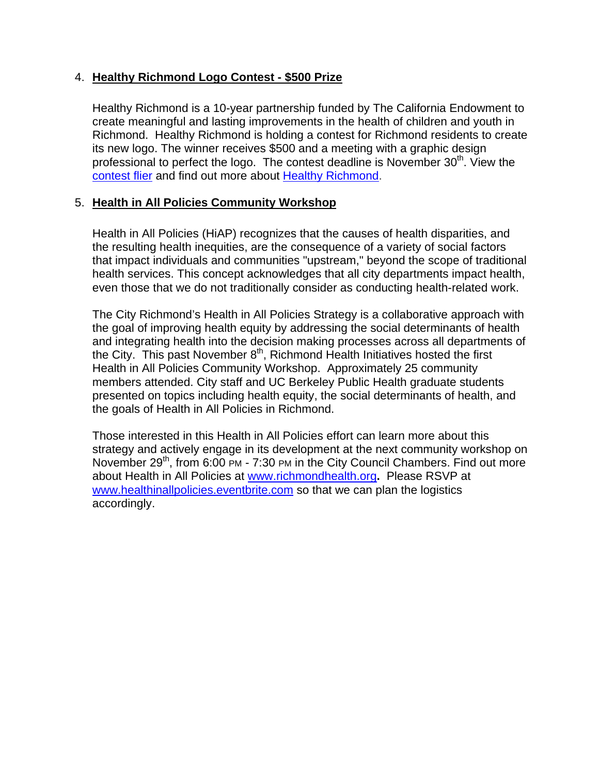### 4. **Healthy Richmond Logo Contest - \$500 Prize**

Healthy Richmond is a 10-year partnership funded by The California Endowment to create meaningful and lasting improvements in the health of children and youth in Richmond. Healthy Richmond is holding a contest for Richmond residents to create its new logo. The winner receives \$500 and a meeting with a graphic design professional to perfect the logo. The contest deadline is November  $30<sup>th</sup>$ . View the contest flier and find out more about Healthy Richmond.

### 5. **Health in All Policies Community Workshop**

Health in All Policies (HiAP) recognizes that the causes of health disparities, and the resulting health inequities, are the consequence of a variety of social factors that impact individuals and communities "upstream," beyond the scope of traditional health services. This concept acknowledges that all city departments impact health, even those that we do not traditionally consider as conducting health-related work.

The City Richmond's Health in All Policies Strategy is a collaborative approach with the goal of improving health equity by addressing the social determinants of health and integrating health into the decision making processes across all departments of the City. This past November  $8<sup>th</sup>$ , Richmond Health Initiatives hosted the first Health in All Policies Community Workshop. Approximately 25 community members attended. City staff and UC Berkeley Public Health graduate students presented on topics including health equity, the social determinants of health, and the goals of Health in All Policies in Richmond.

Those interested in this Health in All Policies effort can learn more about this strategy and actively engage in its development at the next community workshop on November 29<sup>th</sup>, from 6:00 PM - 7:30 PM in the City Council Chambers. Find out more about Health in All Policies at www.richmondhealth.org**.** Please RSVP at www.healthinallpolicies.eventbrite.com so that we can plan the logistics accordingly.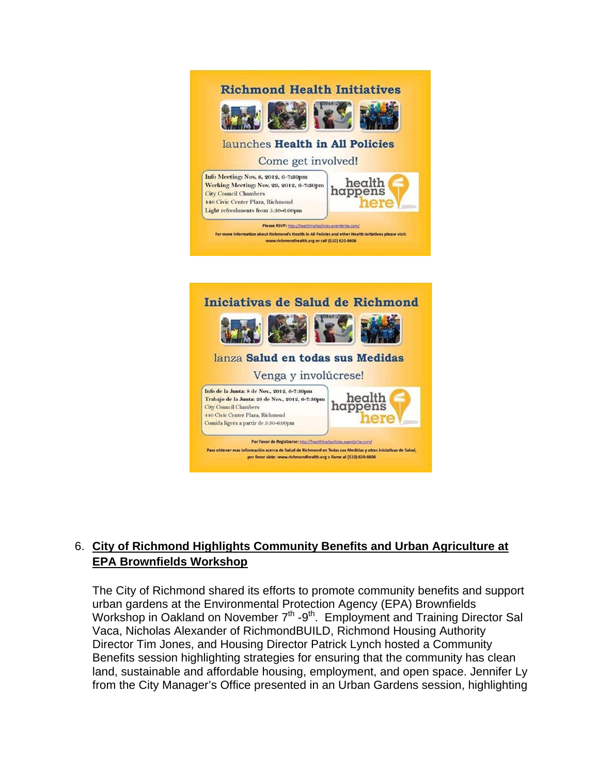

## 6. **City of Richmond Highlights Community Benefits and Urban Agriculture at EPA Brownfields Workshop**

The City of Richmond shared its efforts to promote community benefits and support urban gardens at the Environmental Protection Agency (EPA) Brownfields Workshop in Oakland on November 7<sup>th</sup> -9<sup>th</sup>. Employment and Training Director Sal Vaca, Nicholas Alexander of RichmondBUILD, Richmond Housing Authority Director Tim Jones, and Housing Director Patrick Lynch hosted a Community Benefits session highlighting strategies for ensuring that the community has clean land, sustainable and affordable housing, employment, and open space. Jennifer Ly from the City Manager's Office presented in an Urban Gardens session, highlighting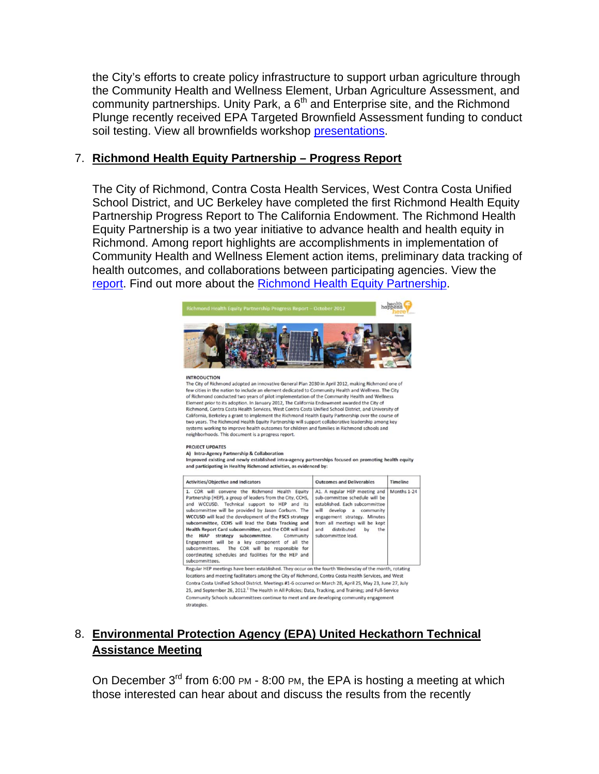the City's efforts to create policy infrastructure to support urban agriculture through the Community Health and Wellness Element, Urban Agriculture Assessment, and community partnerships. Unity Park, a  $6<sup>th</sup>$  and Enterprise site, and the Richmond Plunge recently received EPA Targeted Brownfield Assessment funding to conduct soil testing. View all brownfields workshop presentations.

### 7. **Richmond Health Equity Partnership – Progress Report**

The City of Richmond, Contra Costa Health Services, West Contra Costa Unified School District, and UC Berkeley have completed the first Richmond Health Equity Partnership Progress Report to The California Endowment. The Richmond Health Equity Partnership is a two year initiative to advance health and health equity in Richmond. Among report highlights are accomplishments in implementation of Community Health and Wellness Element action items, preliminary data tracking of health outcomes, and collaborations between participating agencies. View the report. Find out more about the Richmond Health Equity Partnership.



#### **INTRODUCTION**

The City of Richmond adopted an innovative General Plan 2030 in April 2012, making Richmond one of few cities in the nation to include an element dedicated to Community Health and Wellness. The City of Richmond conducted two years of pilot implementation of the Community Health and Wellness Element prior to its adoption. In January 2012, The California Endowment awarded the City of Richmond, Contra Costa Health Services, West Contra Costa Unified School District, and University of California, Berkeley a grant to implement the Richmond Health Equity Partnership over the course of<br>two years. The Richmond Health Equity Partnership will support collaborative leadership among key systems working to improve health outcomes for children and families in Richmond schools and neighborhoods. This document is a progress report.

#### PROJECT UPDATES

A) Intra-Agency Partnership & Collaboration Improved existing and newly established intra-agency partnerships focused on promoting health equity and participating in Healthy Richmond activities, as evidenced by:

| <b>Activities/Objective and Indicators</b>                                                                                                                                                                                                                                                                                                                                                                                                                                                                                                                                                                                    | <b>Outcomes and Deliverables</b>                                                                                                                                                                                                                          | <b>Timeline</b> |
|-------------------------------------------------------------------------------------------------------------------------------------------------------------------------------------------------------------------------------------------------------------------------------------------------------------------------------------------------------------------------------------------------------------------------------------------------------------------------------------------------------------------------------------------------------------------------------------------------------------------------------|-----------------------------------------------------------------------------------------------------------------------------------------------------------------------------------------------------------------------------------------------------------|-----------------|
| 1. COR will convene the Richmond Health Equity<br>Partnership (HEP), a group of leaders from the City, CCHS.<br>and WCCUSD. Technical support to HEP and its<br>subcommittee will be provided by Jason Corburn. The<br>WCCUSD will lead the development of the FSCS strategy<br>subcommittee, CCHS will lead the Data Tracking and<br>Health Report Card subcommittee, and the COR will lead<br>the HiAP strategy subcommittee.<br>Community<br>Engagement will be a key component of all the<br>The COR will be responsible for<br>subcommittees.<br>coordinating schedules and facilities for the HEP and<br>subcommittees. | A1. A regular HEP meeting and<br>sub-committee schedule will be<br>established. Each subcommittee<br>will develop a community<br>engagement strategy. Minutes<br>from all meetings will be kept<br>distributed<br>by<br>the.<br>and<br>subcommittee lead. | Months 1-24     |
| Regular HEP meetings have been established. They occur on the fourth Wednesday of the month, rotating<br>locations and meeting facilitators among the City of Richmond, Contra Costa Health Services, and West<br>Contra Costa Unified School District. Meetings #1-6 occurred on March 28, April 25, May 23, June 27, July<br>25, and September 26, 2012. <sup>1</sup> The Health in All Policies; Data, Tracking, and Training; and Full-Service<br>Community Schools subcommittees continue to meet and are developing community engagement<br>strategies.                                                                 |                                                                                                                                                                                                                                                           |                 |

## 8. **Environmental Protection Agency (EPA) United Heckathorn Technical Assistance Meeting**

On December  $3^{rd}$  from 6:00 PM - 8:00 PM, the EPA is hosting a meeting at which those interested can hear about and discuss the results from the recently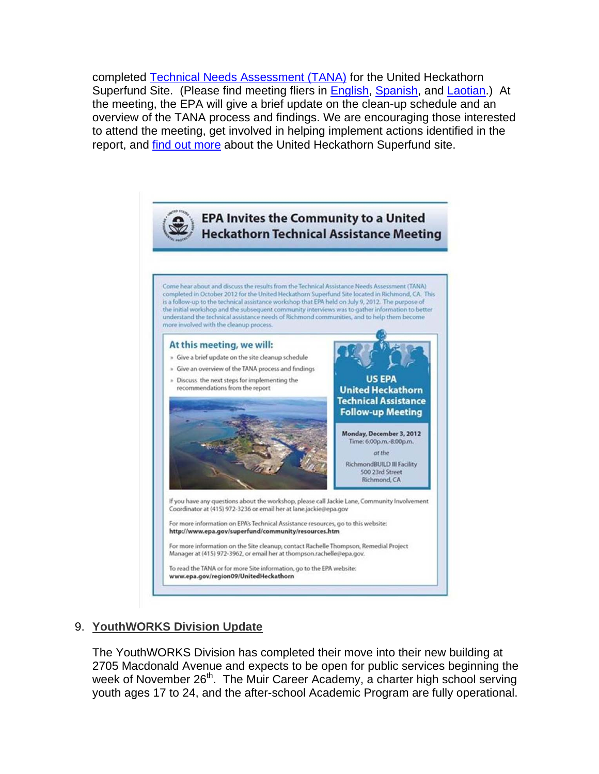completed Technical Needs Assessment (TANA) for the United Heckathorn Superfund Site. (Please find meeting fliers in **English, Spanish**, and *Laotian.*) At the meeting, the EPA will give a brief update on the clean-up schedule and an overview of the TANA process and findings. We are encouraging those interested to attend the meeting, get involved in helping implement actions identified in the report, and find out more about the United Heckathorn Superfund site.



## 9. **YouthWORKS Division Update**

The YouthWORKS Division has completed their move into their new building at 2705 Macdonald Avenue and expects to be open for public services beginning the week of November 26<sup>th</sup>. The Muir Career Academy, a charter high school serving youth ages 17 to 24, and the after-school Academic Program are fully operational.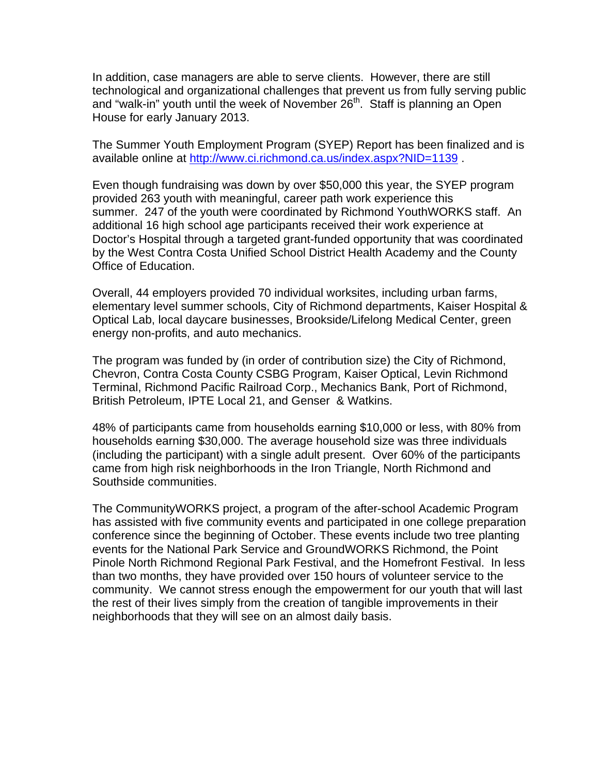In addition, case managers are able to serve clients. However, there are still technological and organizational challenges that prevent us from fully serving public and "walk-in" youth until the week of November 26<sup>th</sup>. Staff is planning an Open House for early January 2013.

The Summer Youth Employment Program (SYEP) Report has been finalized and is available online at http://www.ci.richmond.ca.us/index.aspx?NID=1139 .

Even though fundraising was down by over \$50,000 this year, the SYEP program provided 263 youth with meaningful, career path work experience this summer. 247 of the youth were coordinated by Richmond YouthWORKS staff. An additional 16 high school age participants received their work experience at Doctor's Hospital through a targeted grant-funded opportunity that was coordinated by the West Contra Costa Unified School District Health Academy and the County Office of Education.

Overall, 44 employers provided 70 individual worksites, including urban farms, elementary level summer schools, City of Richmond departments, Kaiser Hospital & Optical Lab, local daycare businesses, Brookside/Lifelong Medical Center, green energy non-profits, and auto mechanics.

The program was funded by (in order of contribution size) the City of Richmond, Chevron, Contra Costa County CSBG Program, Kaiser Optical, Levin Richmond Terminal, Richmond Pacific Railroad Corp., Mechanics Bank, Port of Richmond, British Petroleum, IPTE Local 21, and Genser & Watkins.

48% of participants came from households earning \$10,000 or less, with 80% from households earning \$30,000. The average household size was three individuals (including the participant) with a single adult present. Over 60% of the participants came from high risk neighborhoods in the Iron Triangle, North Richmond and Southside communities.

The CommunityWORKS project, a program of the after-school Academic Program has assisted with five community events and participated in one college preparation conference since the beginning of October. These events include two tree planting events for the National Park Service and GroundWORKS Richmond, the Point Pinole North Richmond Regional Park Festival, and the Homefront Festival. In less than two months, they have provided over 150 hours of volunteer service to the community. We cannot stress enough the empowerment for our youth that will last the rest of their lives simply from the creation of tangible improvements in their neighborhoods that they will see on an almost daily basis.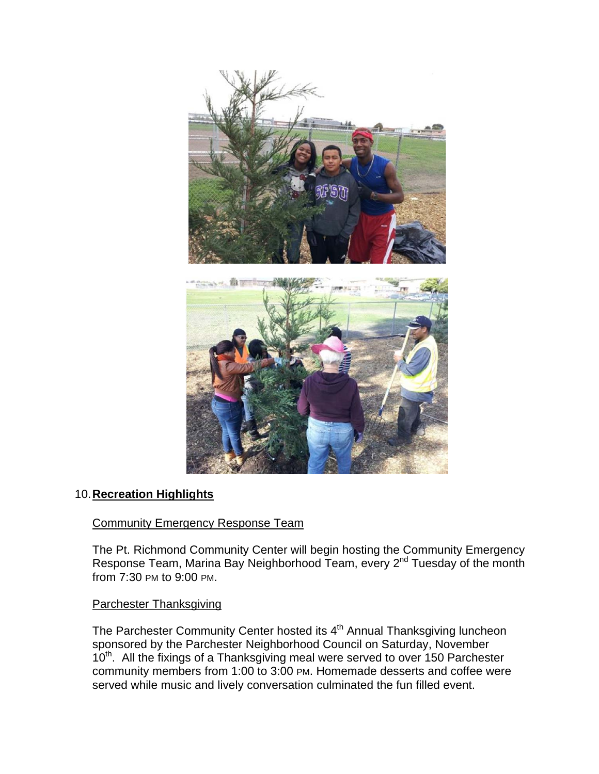

## 10. **Recreation Highlights**

### Community Emergency Response Team

The Pt. Richmond Community Center will begin hosting the Community Emergency Response Team, Marina Bay Neighborhood Team, every 2<sup>nd</sup> Tuesday of the month from 7:30 PM to 9:00 PM.

### Parchester Thanksgiving

The Parchester Community Center hosted its 4<sup>th</sup> Annual Thanksgiving luncheon sponsored by the Parchester Neighborhood Council on Saturday, November 10<sup>th</sup>. All the fixings of a Thanksgiving meal were served to over 150 Parchester community members from 1:00 to 3:00 PM. Homemade desserts and coffee were served while music and lively conversation culminated the fun filled event.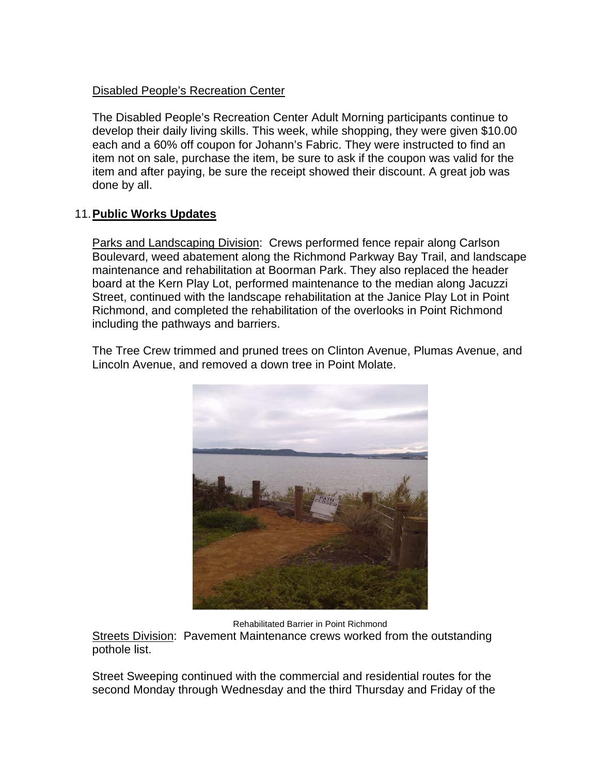### Disabled People's Recreation Center

The Disabled People's Recreation Center Adult Morning participants continue to develop their daily living skills. This week, while shopping, they were given \$10.00 each and a 60% off coupon for Johann's Fabric. They were instructed to find an item not on sale, purchase the item, be sure to ask if the coupon was valid for the item and after paying, be sure the receipt showed their discount. A great job was done by all.

## 11. **Public Works Updates**

Parks and Landscaping Division: Crews performed fence repair along Carlson Boulevard, weed abatement along the Richmond Parkway Bay Trail, and landscape maintenance and rehabilitation at Boorman Park. They also replaced the header board at the Kern Play Lot, performed maintenance to the median along Jacuzzi Street, continued with the landscape rehabilitation at the Janice Play Lot in Point Richmond, and completed the rehabilitation of the overlooks in Point Richmond including the pathways and barriers.

The Tree Crew trimmed and pruned trees on Clinton Avenue, Plumas Avenue, and Lincoln Avenue, and removed a down tree in Point Molate.



Rehabilitated Barrier in Point Richmond

Streets Division: Pavement Maintenance crews worked from the outstanding pothole list.

Street Sweeping continued with the commercial and residential routes for the second Monday through Wednesday and the third Thursday and Friday of the